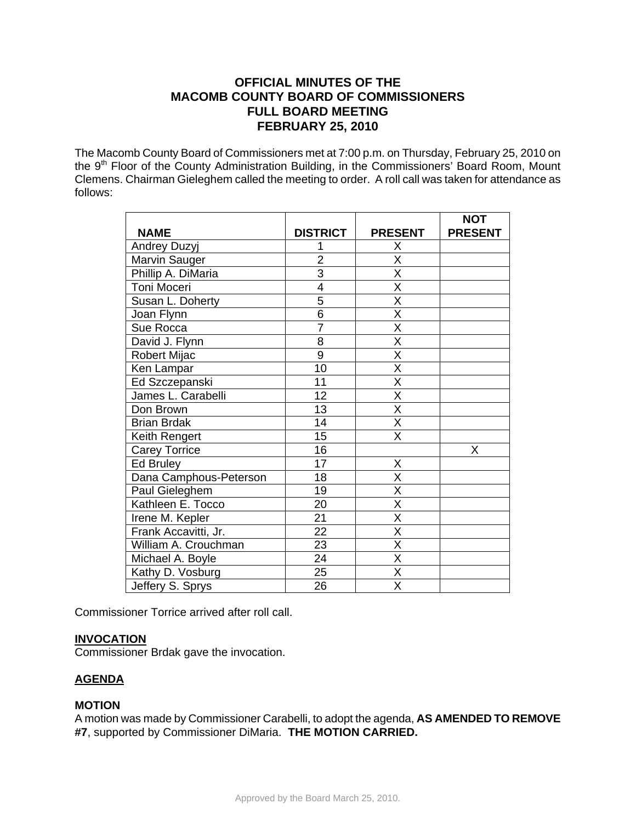# **OFFICIAL MINUTES OF THE MACOMB COUNTY BOARD OF COMMISSIONERS FULL BOARD MEETING FEBRUARY 25, 2010**

The Macomb County Board of Commissioners met at 7:00 p.m. on Thursday, February 25, 2010 on the 9<sup>th</sup> Floor of the County Administration Building, in the Commissioners' Board Room, Mount Clemens. Chairman Gieleghem called the meeting to order. A roll call was taken for attendance as follows:

|                        |                 |                         | <b>NOT</b>     |
|------------------------|-----------------|-------------------------|----------------|
| <b>NAME</b>            | <b>DISTRICT</b> | <b>PRESENT</b>          | <b>PRESENT</b> |
| Andrey Duzyj           |                 | Х                       |                |
| Marvin Sauger          | $\overline{2}$  | X                       |                |
| Phillip A. DiMaria     | $\overline{3}$  | $\overline{\mathsf{x}}$ |                |
| Toni Moceri            | 4               | $\overline{\mathsf{X}}$ |                |
| Susan L. Doherty       | 5               | $\overline{\mathsf{x}}$ |                |
| Joan Flynn             | $\overline{6}$  | $\overline{\mathsf{x}}$ |                |
| Sue Rocca              | $\overline{7}$  | $\overline{\mathsf{X}}$ |                |
| David J. Flynn         | 8               | X                       |                |
| Robert Mijac           | $\overline{9}$  | $\overline{\mathsf{x}}$ |                |
| Ken Lampar             | 10              | $\overline{\mathsf{x}}$ |                |
| Ed Szczepanski         | 11              | $\overline{\mathsf{x}}$ |                |
| James L. Carabelli     | 12              | $\overline{\mathsf{X}}$ |                |
| Don Brown              | 13              | $\overline{\mathsf{X}}$ |                |
| <b>Brian Brdak</b>     | 14              | $\overline{\mathsf{x}}$ |                |
| Keith Rengert          | 15              | $\overline{\mathsf{X}}$ |                |
| <b>Carey Torrice</b>   | 16              |                         | X              |
| Ed Bruley              | 17              | X                       |                |
| Dana Camphous-Peterson | 18              | X                       |                |
| Paul Gieleghem         | 19              | $\overline{\mathsf{x}}$ |                |
| Kathleen E. Tocco      | 20              | $\overline{\mathsf{x}}$ |                |
| Irene M. Kepler        | 21              | X                       |                |
| Frank Accavitti, Jr.   | $\overline{22}$ | $\overline{\mathsf{x}}$ |                |
| William A. Crouchman   | 23              | X                       |                |
| Michael A. Boyle       | 24              | X                       |                |
| Kathy D. Vosburg       | $\overline{25}$ | $\overline{\sf x}$      |                |
| Jeffery S. Sprys       | 26              | $\overline{\mathsf{x}}$ |                |

Commissioner Torrice arrived after roll call.

# **INVOCATION**

Commissioner Brdak gave the invocation.

# **AGENDA**

#### **MOTION**

A motion was made by Commissioner Carabelli, to adopt the agenda, **AS AMENDED TO REMOVE #7**, supported by Commissioner DiMaria. **THE MOTION CARRIED.**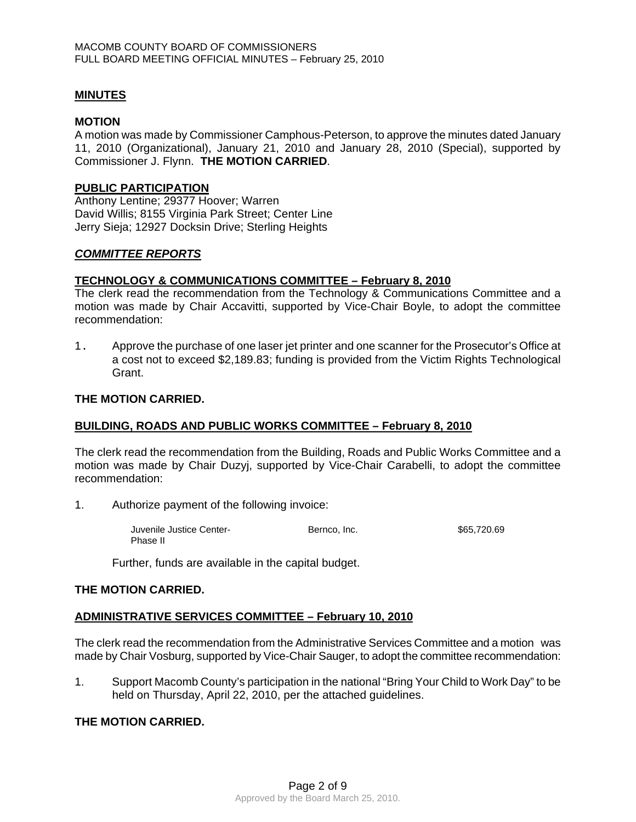#### **MINUTES**

#### **MOTION**

A motion was made by Commissioner Camphous-Peterson, to approve the minutes dated January 11, 2010 (Organizational), January 21, 2010 and January 28, 2010 (Special), supported by Commissioner J. Flynn. **THE MOTION CARRIED**.

#### **PUBLIC PARTICIPATION**

Anthony Lentine; 29377 Hoover; Warren David Willis; 8155 Virginia Park Street; Center Line Jerry Sieja; 12927 Docksin Drive; Sterling Heights

#### *COMMITTEE REPORTS*

#### **TECHNOLOGY & COMMUNICATIONS COMMITTEE – February 8, 2010**

The clerk read the recommendation from the Technology & Communications Committee and a motion was made by Chair Accavitti, supported by Vice-Chair Boyle, to adopt the committee recommendation:

1. Approve the purchase of one laser jet printer and one scanner for the Prosecutor's Office at a cost not to exceed \$2,189.83; funding is provided from the Victim Rights Technological Grant.

#### **THE MOTION CARRIED.**

#### **BUILDING, ROADS AND PUBLIC WORKS COMMITTEE – February 8, 2010**

The clerk read the recommendation from the Building, Roads and Public Works Committee and a motion was made by Chair Duzyj, supported by Vice-Chair Carabelli, to adopt the committee recommendation:

1. Authorize payment of the following invoice:

 Juvenile Justice Center- Bernco, Inc. \$65,720.69 Phase II

Further, funds are available in the capital budget.

#### **THE MOTION CARRIED.**

#### **ADMINISTRATIVE SERVICES COMMITTEE – February 10, 2010**

The clerk read the recommendation from the Administrative Services Committee and a motion was made by Chair Vosburg, supported by Vice-Chair Sauger, to adopt the committee recommendation:

1. Support Macomb County's participation in the national "Bring Your Child to Work Day" to be held on Thursday, April 22, 2010, per the attached guidelines.

#### **THE MOTION CARRIED.**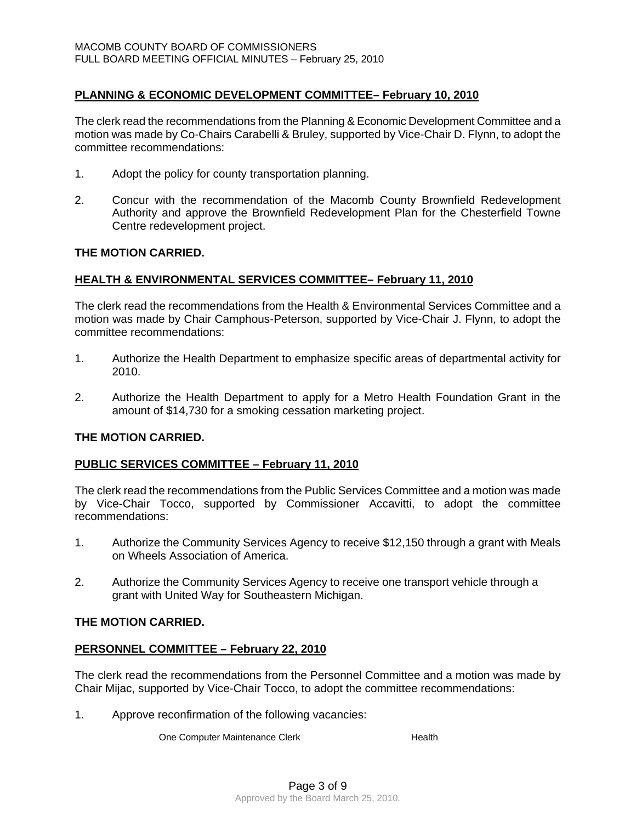# **PLANNING & ECONOMIC DEVELOPMENT COMMITTEE– February 10, 2010**

The clerk read the recommendations from the Planning & Economic Development Committee and a motion was made by Co-Chairs Carabelli & Bruley, supported by Vice-Chair D. Flynn, to adopt the committee recommendations:

- 1. Adopt the policy for county transportation planning.
- 2. Concur with the recommendation of the Macomb County Brownfield Redevelopment Authority and approve the Brownfield Redevelopment Plan for the Chesterfield Towne Centre redevelopment project.

#### **THE MOTION CARRIED.**

#### **HEALTH & ENVIRONMENTAL SERVICES COMMITTEE– February 11, 2010**

The clerk read the recommendations from the Health & Environmental Services Committee and a motion was made by Chair Camphous-Peterson, supported by Vice-Chair J. Flynn, to adopt the committee recommendations:

- 1. Authorize the Health Department to emphasize specific areas of departmental activity for 2010.
- 2. Authorize the Health Department to apply for a Metro Health Foundation Grant in the amount of \$14,730 for a smoking cessation marketing project.

# **THE MOTION CARRIED.**

#### **PUBLIC SERVICES COMMITTEE – February 11, 2010**

The clerk read the recommendations from the Public Services Committee and a motion was made by Vice-Chair Tocco, supported by Commissioner Accavitti, to adopt the committee recommendations:

- 1. Authorize the Community Services Agency to receive \$12,150 through a grant with Meals on Wheels Association of America.
- 2. Authorize the Community Services Agency to receive one transport vehicle through a grant with United Way for Southeastern Michigan.

#### **THE MOTION CARRIED.**

#### **PERSONNEL COMMITTEE – February 22, 2010**

The clerk read the recommendations from the Personnel Committee and a motion was made by Chair Mijac, supported by Vice-Chair Tocco, to adopt the committee recommendations:

1. Approve reconfirmation of the following vacancies:

One Computer Maintenance Clerk **Health**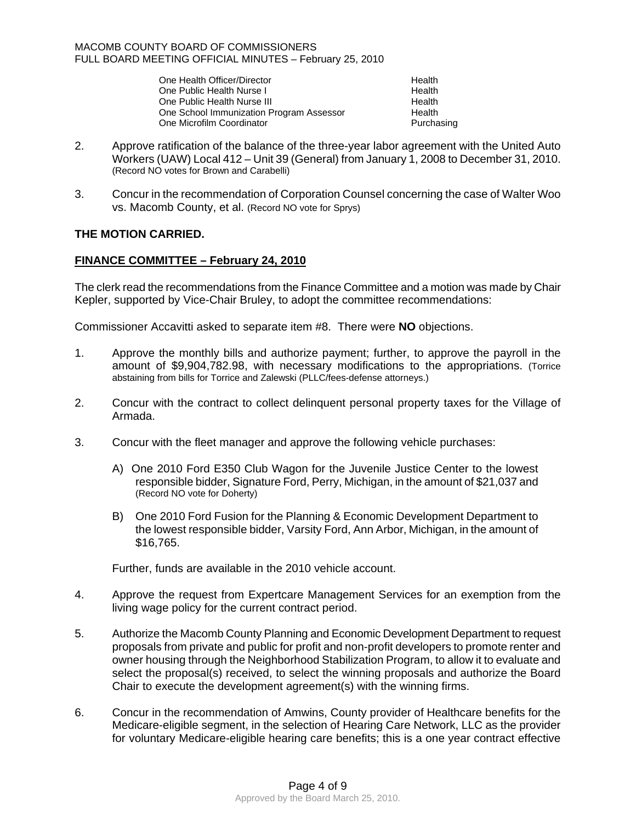| One Health Officer/Director              | Health     |
|------------------------------------------|------------|
| One Public Health Nurse I                | Health     |
| One Public Health Nurse III              | Health     |
| One School Immunization Program Assessor | Health     |
| One Microfilm Coordinator                | Purchasing |

- 2. Approve ratification of the balance of the three-year labor agreement with the United Auto Workers (UAW) Local 412 – Unit 39 (General) from January 1, 2008 to December 31, 2010. (Record NO votes for Brown and Carabelli)
- 3. Concur in the recommendation of Corporation Counsel concerning the case of Walter Woo vs. Macomb County, et al. (Record NO vote for Sprys)

# **THE MOTION CARRIED.**

# **FINANCE COMMITTEE – February 24, 2010**

The clerk read the recommendations from the Finance Committee and a motion was made by Chair Kepler, supported by Vice-Chair Bruley, to adopt the committee recommendations:

Commissioner Accavitti asked to separate item #8. There were **NO** objections.

- 1. Approve the monthly bills and authorize payment; further, to approve the payroll in the amount of \$9,904,782.98, with necessary modifications to the appropriations. (Torrice abstaining from bills for Torrice and Zalewski (PLLC/fees-defense attorneys.)
- 2. Concur with the contract to collect delinquent personal property taxes for the Village of Armada.
- 3. Concur with the fleet manager and approve the following vehicle purchases:
	- A) One 2010 Ford E350 Club Wagon for the Juvenile Justice Center to the lowest responsible bidder, Signature Ford, Perry, Michigan, in the amount of \$21,037 and (Record NO vote for Doherty)
	- B) One 2010 Ford Fusion for the Planning & Economic Development Department to the lowest responsible bidder, Varsity Ford, Ann Arbor, Michigan, in the amount of \$16,765.

Further, funds are available in the 2010 vehicle account.

- 4. Approve the request from Expertcare Management Services for an exemption from the living wage policy for the current contract period.
- 5. Authorize the Macomb County Planning and Economic Development Department to request proposals from private and public for profit and non-profit developers to promote renter and owner housing through the Neighborhood Stabilization Program, to allow it to evaluate and select the proposal(s) received, to select the winning proposals and authorize the Board Chair to execute the development agreement(s) with the winning firms.
- 6. Concur in the recommendation of Amwins, County provider of Healthcare benefits for the Medicare-eligible segment, in the selection of Hearing Care Network, LLC as the provider for voluntary Medicare-eligible hearing care benefits; this is a one year contract effective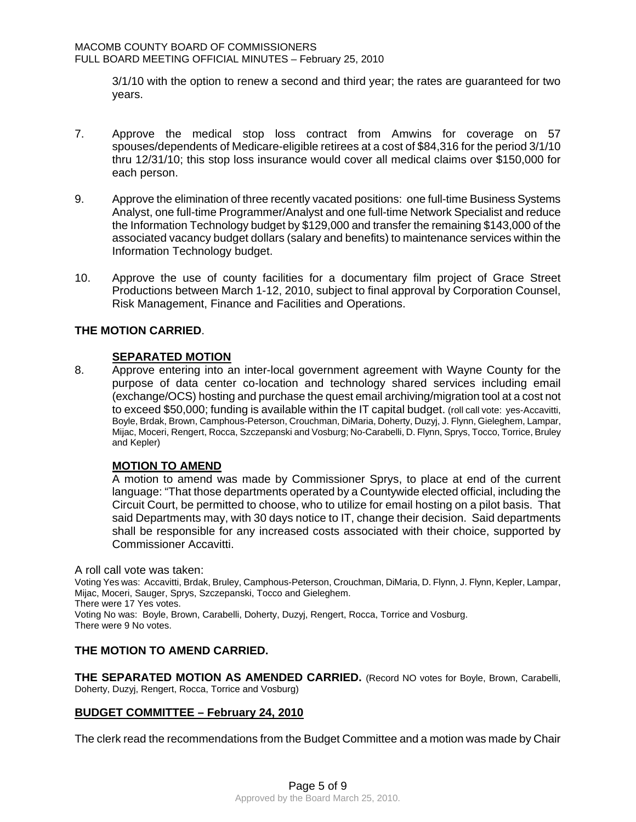3/1/10 with the option to renew a second and third year; the rates are guaranteed for two years.

- 7. Approve the medical stop loss contract from Amwins for coverage on 57 spouses/dependents of Medicare-eligible retirees at a cost of \$84,316 for the period 3/1/10 thru 12/31/10; this stop loss insurance would cover all medical claims over \$150,000 for each person.
- 9. Approve the elimination of three recently vacated positions: one full-time Business Systems Analyst, one full-time Programmer/Analyst and one full-time Network Specialist and reduce the Information Technology budget by \$129,000 and transfer the remaining \$143,000 of the associated vacancy budget dollars (salary and benefits) to maintenance services within the Information Technology budget.
- 10. Approve the use of county facilities for a documentary film project of Grace Street Productions between March 1-12, 2010, subject to final approval by Corporation Counsel, Risk Management, Finance and Facilities and Operations.

# **THE MOTION CARRIED**.

#### **SEPARATED MOTION**

8. Approve entering into an inter-local government agreement with Wayne County for the purpose of data center co-location and technology shared services including email (exchange/OCS) hosting and purchase the quest email archiving/migration tool at a cost not to exceed \$50,000; funding is available within the IT capital budget. (roll call vote: yes-Accavitti, Boyle, Brdak, Brown, Camphous-Peterson, Crouchman, DiMaria, Doherty, Duzyj, J. Flynn, Gieleghem, Lampar, Mijac, Moceri, Rengert, Rocca, Szczepanski and Vosburg; No-Carabelli, D. Flynn, Sprys, Tocco, Torrice, Bruley and Kepler)

#### **MOTION TO AMEND**

 A motion to amend was made by Commissioner Sprys, to place at end of the current language: "That those departments operated by a Countywide elected official, including the Circuit Court, be permitted to choose, who to utilize for email hosting on a pilot basis. That said Departments may, with 30 days notice to IT, change their decision. Said departments shall be responsible for any increased costs associated with their choice, supported by Commissioner Accavitti.

A roll call vote was taken: Voting Yes was: Accavitti, Brdak, Bruley, Camphous-Peterson, Crouchman, DiMaria, D. Flynn, J. Flynn, Kepler, Lampar, Mijac, Moceri, Sauger, Sprys, Szczepanski, Tocco and Gieleghem. There were 17 Yes votes. Voting No was: Boyle, Brown, Carabelli, Doherty, Duzyj, Rengert, Rocca, Torrice and Vosburg. There were 9 No votes.

#### **THE MOTION TO AMEND CARRIED.**

**THE SEPARATED MOTION AS AMENDED CARRIED.** (Record NO votes for Boyle, Brown, Carabelli, Doherty, Duzyj, Rengert, Rocca, Torrice and Vosburg)

#### **BUDGET COMMITTEE – February 24, 2010**

The clerk read the recommendations from the Budget Committee and a motion was made by Chair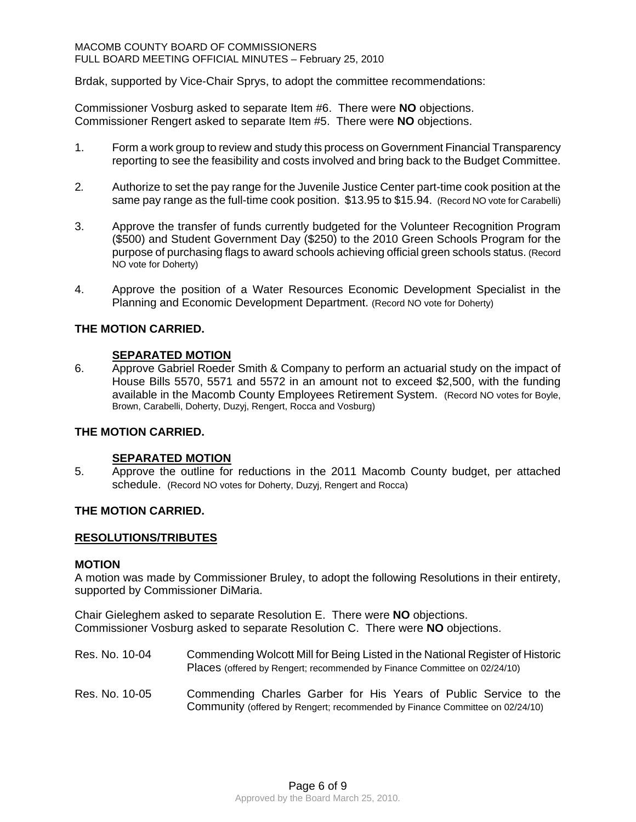#### MACOMB COUNTY BOARD OF COMMISSIONERS FULL BOARD MEETING OFFICIAL MINUTES – February 25, 2010

Brdak, supported by Vice-Chair Sprys, to adopt the committee recommendations:

Commissioner Vosburg asked to separate Item #6. There were **NO** objections. Commissioner Rengert asked to separate Item #5. There were **NO** objections.

- 1. Form a work group to review and study this process on Government Financial Transparency reporting to see the feasibility and costs involved and bring back to the Budget Committee.
- 2*.* Authorize to set the pay range for the Juvenile Justice Center part-time cook position at the same pay range as the full-time cook position. \$13.95 to \$15.94. (Record NO vote for Carabelli)
- 3. Approve the transfer of funds currently budgeted for the Volunteer Recognition Program (\$500) and Student Government Day (\$250) to the 2010 Green Schools Program for the purpose of purchasing flags to award schools achieving official green schools status. (Record NO vote for Doherty)
- 4. Approve the position of a Water Resources Economic Development Specialist in the Planning and Economic Development Department. (Record NO vote for Doherty)

# **THE MOTION CARRIED.**

#### **SEPARATED MOTION**

6. Approve Gabriel Roeder Smith & Company to perform an actuarial study on the impact of House Bills 5570, 5571 and 5572 in an amount not to exceed \$2,500, with the funding available in the Macomb County Employees Retirement System. (Record NO votes for Boyle, Brown, Carabelli, Doherty, Duzyj, Rengert, Rocca and Vosburg)

#### **THE MOTION CARRIED.**

#### **SEPARATED MOTION**

5. Approve the outline for reductions in the 2011 Macomb County budget, per attached schedule. (Record NO votes for Doherty, Duzyj, Rengert and Rocca)

#### **THE MOTION CARRIED.**

#### **RESOLUTIONS/TRIBUTES**

#### **MOTION**

A motion was made by Commissioner Bruley, to adopt the following Resolutions in their entirety, supported by Commissioner DiMaria.

Chair Gieleghem asked to separate Resolution E. There were **NO** objections. Commissioner Vosburg asked to separate Resolution C. There were **NO** objections.

- Res. No. 10-04 Commending Wolcott Mill for Being Listed in the National Register of Historic Places (offered by Rengert; recommended by Finance Committee on 02/24/10)
- Res. No. 10-05 Commending Charles Garber for His Years of Public Service to the Community (offered by Rengert; recommended by Finance Committee on 02/24/10)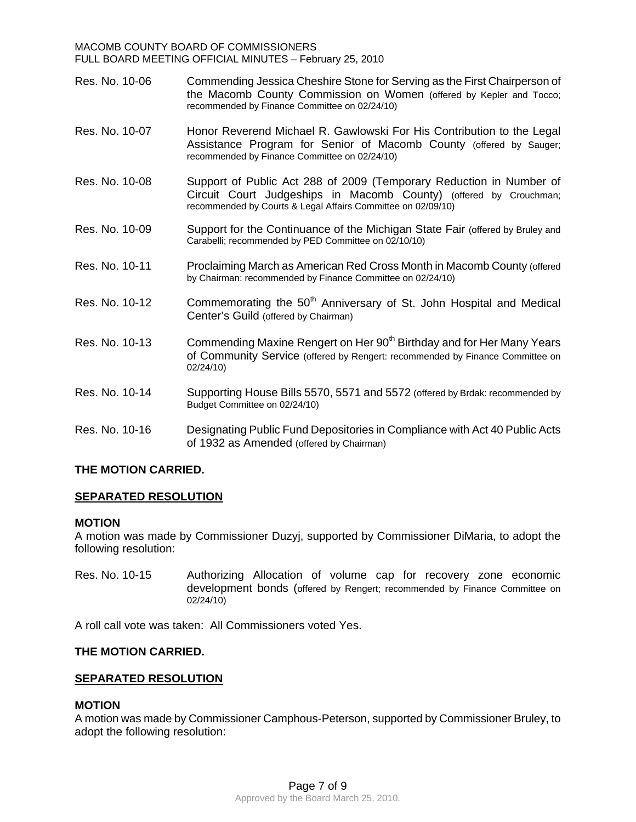#### MACOMB COUNTY BOARD OF COMMISSIONERS FULL BOARD MEETING OFFICIAL MINUTES – February 25, 2010

- Res. No. 10-06 Commending Jessica Cheshire Stone for Serving as the First Chairperson of the Macomb County Commission on Women (offered by Kepler and Tocco; recommended by Finance Committee on 02/24/10)
- Res. No. 10-07 Honor Reverend Michael R. Gawlowski For His Contribution to the Legal Assistance Program for Senior of Macomb County (offered by Sauger; recommended by Finance Committee on 02/24/10)
- Res. No. 10-08 Support of Public Act 288 of 2009 (Temporary Reduction in Number of Circuit Court Judgeships in Macomb County) (offered by Crouchman; recommended by Courts & Legal Affairs Committee on 02/09/10)
- Res. No. 10-09 Support for the Continuance of the Michigan State Fair (offered by Bruley and Carabelli; recommended by PED Committee on 02/10/10)
- Res. No. 10-11 Proclaiming March as American Red Cross Month in Macomb County (offered by Chairman: recommended by Finance Committee on 02/24/10)
- Res. No. 10-12 Commemorating the  $50<sup>th</sup>$  Anniversary of St. John Hospital and Medical Center's Guild (offered by Chairman)
- Res. No. 10-13 Commending Maxine Rengert on Her 90<sup>th</sup> Birthday and for Her Many Years of Community Service (offered by Rengert: recommended by Finance Committee on 02/24/10)
- Res. No. 10-14 Supporting House Bills 5570, 5571 and 5572 (offered by Brdak: recommended by Budget Committee on 02/24/10)
- Res. No. 10-16 Designating Public Fund Depositories in Compliance with Act 40 Public Acts of 1932 as Amended (offered by Chairman)

# **THE MOTION CARRIED.**

# **SEPARATED RESOLUTION**

#### **MOTION**

A motion was made by Commissioner Duzyj, supported by Commissioner DiMaria, to adopt the following resolution:

Res. No. 10-15 Authorizing Allocation of volume cap for recovery zone economic development bonds (offered by Rengert; recommended by Finance Committee on 02/24/10)

A roll call vote was taken: All Commissioners voted Yes.

#### **THE MOTION CARRIED.**

#### **SEPARATED RESOLUTION**

#### **MOTION**

A motion was made by Commissioner Camphous-Peterson, supported by Commissioner Bruley, to adopt the following resolution: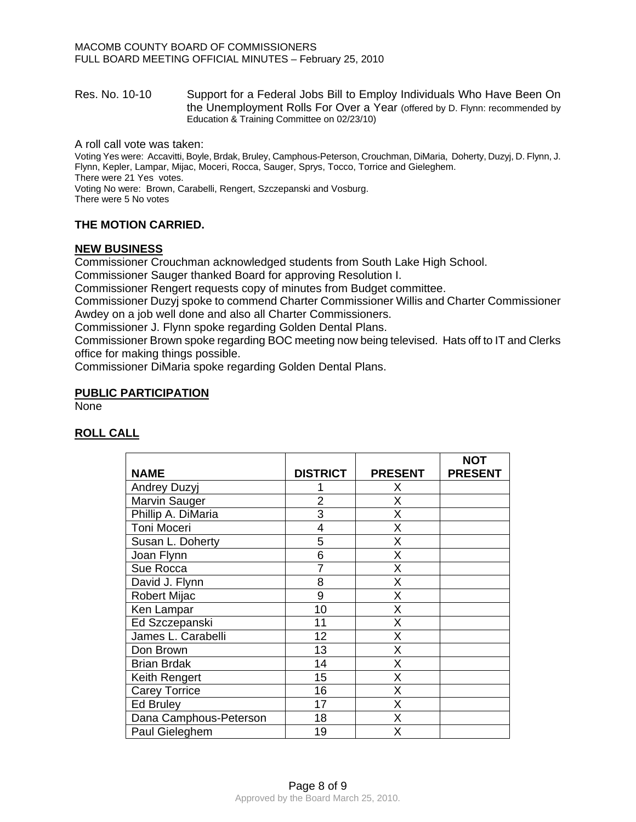#### Res. No. 10-10 Support for a Federal Jobs Bill to Employ Individuals Who Have Been On the Unemployment Rolls For Over a Year (offered by D. Flynn: recommended by Education & Training Committee on 02/23/10)

A roll call vote was taken:

Voting Yes were: Accavitti, Boyle, Brdak, Bruley, Camphous-Peterson, Crouchman, DiMaria, Doherty, Duzyj, D. Flynn, J. Flynn, Kepler, Lampar, Mijac, Moceri, Rocca, Sauger, Sprys, Tocco, Torrice and Gieleghem. There were 21 Yes votes.

Voting No were: Brown, Carabelli, Rengert, Szczepanski and Vosburg. There were 5 No votes

# **THE MOTION CARRIED.**

# **NEW BUSINESS**

Commissioner Crouchman acknowledged students from South Lake High School.

Commissioner Sauger thanked Board for approving Resolution I.

Commissioner Rengert requests copy of minutes from Budget committee.

Commissioner Duzyj spoke to commend Charter Commissioner Willis and Charter Commissioner Awdey on a job well done and also all Charter Commissioners.

Commissioner J. Flynn spoke regarding Golden Dental Plans.

Commissioner Brown spoke regarding BOC meeting now being televised. Hats off to IT and Clerks office for making things possible.

Commissioner DiMaria spoke regarding Golden Dental Plans.

#### **PUBLIC PARTICIPATION**

None

# **ROLL CALL**

|                        |                 |                | <b>NOT</b>     |
|------------------------|-----------------|----------------|----------------|
| <b>NAME</b>            | <b>DISTRICT</b> | <b>PRESENT</b> | <b>PRESENT</b> |
| <b>Andrey Duzyj</b>    |                 | Х              |                |
| Marvin Sauger          | $\overline{2}$  | X              |                |
| Phillip A. DiMaria     | 3               | Χ              |                |
| Toni Moceri            | 4               | Χ              |                |
| Susan L. Doherty       | 5               | Χ              |                |
| Joan Flynn             | 6               | X              |                |
| Sue Rocca              | 7               | X              |                |
| David J. Flynn         | 8               | Χ              |                |
| <b>Robert Mijac</b>    | 9               | X              |                |
| Ken Lampar             | 10              | Χ              |                |
| Ed Szczepanski         | 11              | X              |                |
| James L. Carabelli     | 12              | X              |                |
| Don Brown              | 13              | Χ              |                |
| <b>Brian Brdak</b>     | 14              | X              |                |
| Keith Rengert          | 15              | X              |                |
| <b>Carey Torrice</b>   | 16              | X              |                |
| <b>Ed Bruley</b>       | 17              | Χ              |                |
| Dana Camphous-Peterson | 18              | X              |                |
| Paul Gieleghem         | 19              | Χ              |                |